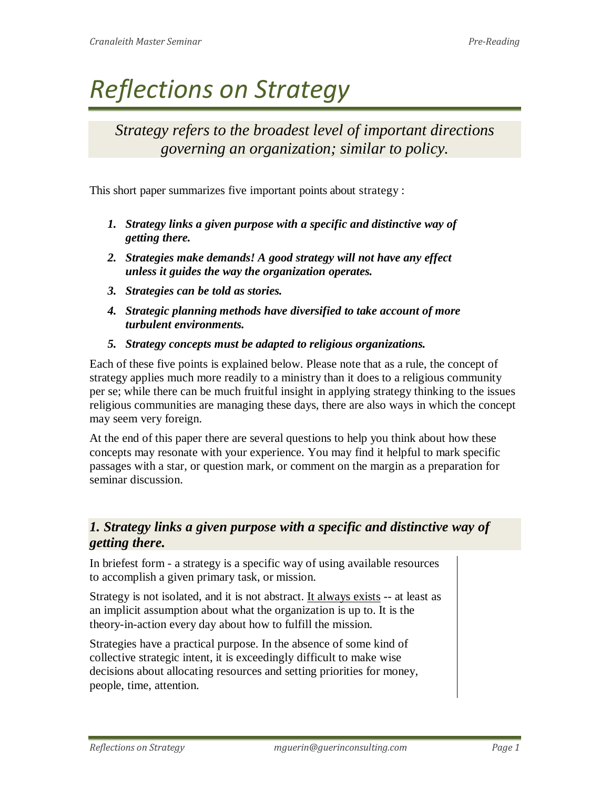# *Reflections on Strategy*

*Strategy refers to the broadest level of important directions governing an organization; similar to policy.*

This short paper summarizes five important points about strategy :

- *1. Strategy links a given purpose with a specific and distinctive way of getting there.*
- *2. Strategies make demands! A good strategy will not have any effect unless it guides the way the organization operates.*
- *3. Strategies can be told as stories.*
- *4. Strategic planning methods have diversified to take account of more turbulent environments.*
- *5. Strategy concepts must be adapted to religious organizations.*

Each of these five points is explained below. Please note that as a rule, the concept of strategy applies much more readily to a ministry than it does to a religious community per se; while there can be much fruitful insight in applying strategy thinking to the issues religious communities are managing these days, there are also ways in which the concept may seem very foreign.

At the end of this paper there are several questions to help you think about how these concepts may resonate with your experience. You may find it helpful to mark specific passages with a star, or question mark, or comment on the margin as a preparation for seminar discussion.

## *1. Strategy links a given purpose with a specific and distinctive way of getting there.*

In briefest form - a strategy is a specific way of using available resources to accomplish a given primary task, or mission.

Strategy is not isolated, and it is not abstract. It always exists -- at least as an implicit assumption about what the organization is up to. It is the theory-in-action every day about how to fulfill the mission.

Strategies have a practical purpose. In the absence of some kind of collective strategic intent, it is exceedingly difficult to make wise decisions about allocating resources and setting priorities for money, people, time, attention.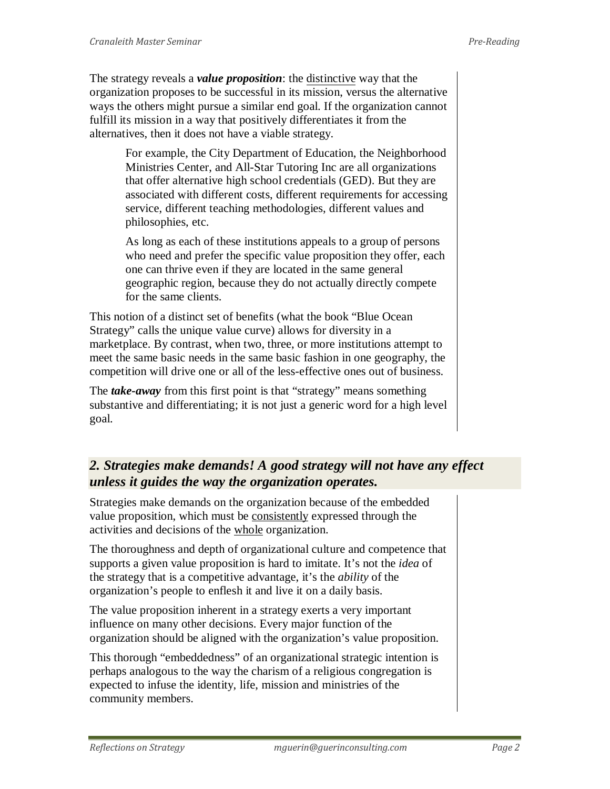The strategy reveals a *value proposition*: the distinctive way that the organization proposes to be successful in its mission, versus the alternative ways the others might pursue a similar end goal. If the organization cannot fulfill its mission in a way that positively differentiates it from the alternatives, then it does not have a viable strategy.

> For example, the City Department of Education, the Neighborhood Ministries Center, and All-Star Tutoring Inc are all organizations that offer alternative high school credentials (GED). But they are associated with different costs, different requirements for accessing service, different teaching methodologies, different values and philosophies, etc.

> As long as each of these institutions appeals to a group of persons who need and prefer the specific value proposition they offer, each one can thrive even if they are located in the same general geographic region, because they do not actually directly compete for the same clients.

This notion of a distinct set of benefits (what the book "Blue Ocean Strategy" calls the unique value curve) allows for diversity in a marketplace. By contrast, when two, three, or more institutions attempt to meet the same basic needs in the same basic fashion in one geography, the competition will drive one or all of the less-effective ones out of business.

The *take-away* from this first point is that "strategy" means something substantive and differentiating; it is not just a generic word for a high level goal.

## *2. Strategies make demands! A good strategy will not have any effect unless it guides the way the organization operates.*

Strategies make demands on the organization because of the embedded value proposition, which must be consistently expressed through the activities and decisions of the whole organization.

The thoroughness and depth of organizational culture and competence that supports a given value proposition is hard to imitate. It's not the *idea* of the strategy that is a competitive advantage, it's the *ability* of the organization's people to enflesh it and live it on a daily basis.

The value proposition inherent in a strategy exerts a very important influence on many other decisions. Every major function of the organization should be aligned with the organization's value proposition.

This thorough "embeddedness" of an organizational strategic intention is perhaps analogous to the way the charism of a religious congregation is expected to infuse the identity, life, mission and ministries of the community members.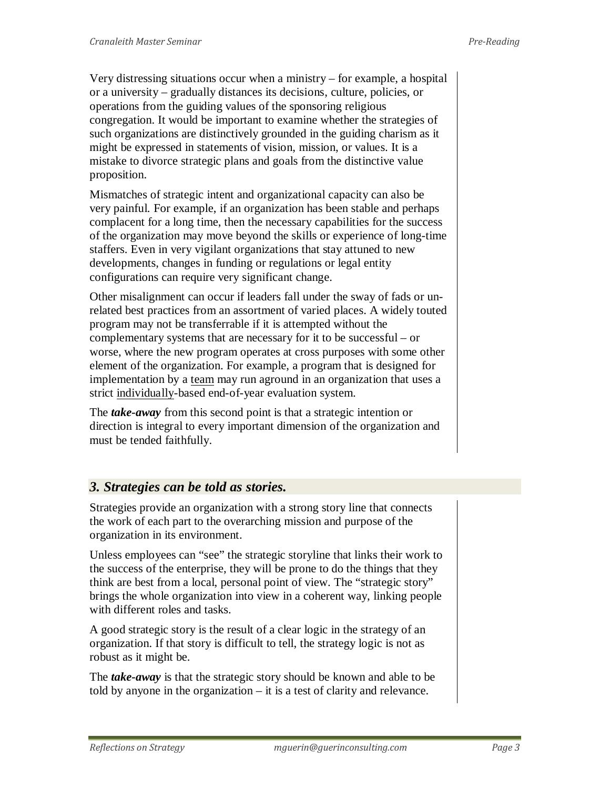Very distressing situations occur when a ministry – for example, a hospital or a university – gradually distances its decisions, culture, policies, or operations from the guiding values of the sponsoring religious congregation. It would be important to examine whether the strategies of such organizations are distinctively grounded in the guiding charism as it might be expressed in statements of vision, mission, or values. It is a mistake to divorce strategic plans and goals from the distinctive value proposition.

Mismatches of strategic intent and organizational capacity can also be very painful. For example, if an organization has been stable and perhaps complacent for a long time, then the necessary capabilities for the success of the organization may move beyond the skills or experience of long-time staffers. Even in very vigilant organizations that stay attuned to new developments, changes in funding or regulations or legal entity configurations can require very significant change.

Other misalignment can occur if leaders fall under the sway of fads or unrelated best practices from an assortment of varied places. A widely touted program may not be transferrable if it is attempted without the complementary systems that are necessary for it to be successful – or worse, where the new program operates at cross purposes with some other element of the organization. For example, a program that is designed for implementation by a team may run aground in an organization that uses a strict individually-based end-of-year evaluation system.

The *take-away* from this second point is that a strategic intention or direction is integral to every important dimension of the organization and must be tended faithfully.

### *3. Strategies can be told as stories.*

Strategies provide an organization with a strong story line that connects the work of each part to the overarching mission and purpose of the organization in its environment.

Unless employees can "see" the strategic storyline that links their work to the success of the enterprise, they will be prone to do the things that they think are best from a local, personal point of view. The "strategic story" brings the whole organization into view in a coherent way, linking people with different roles and tasks.

A good strategic story is the result of a clear logic in the strategy of an organization. If that story is difficult to tell, the strategy logic is not as robust as it might be.

The *take-away* is that the strategic story should be known and able to be told by anyone in the organization – it is a test of clarity and relevance.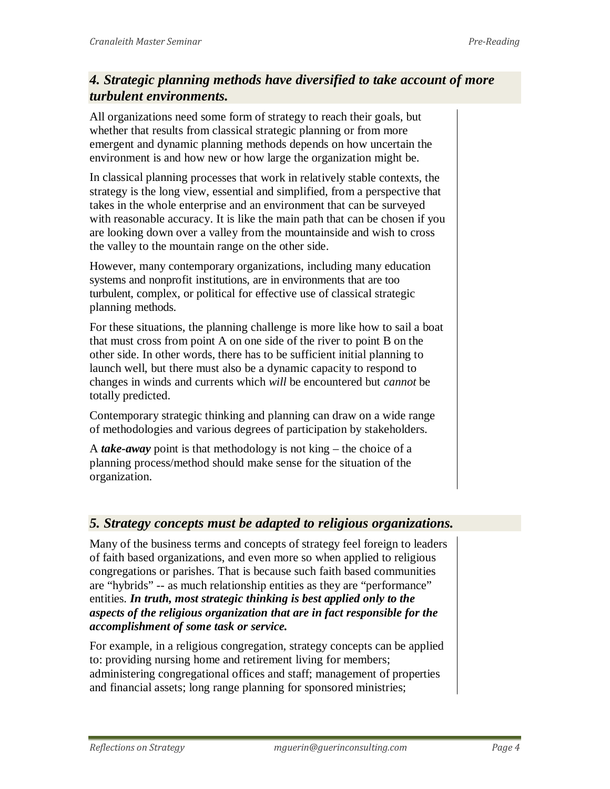## *4. Strategic planning methods have diversified to take account of more turbulent environments.*

All organizations need some form of strategy to reach their goals, but whether that results from classical strategic planning or from more emergent and dynamic planning methods depends on how uncertain the environment is and how new or how large the organization might be.

In classical planning processes that work in relatively stable contexts, the strategy is the long view, essential and simplified, from a perspective that takes in the whole enterprise and an environment that can be surveyed with reasonable accuracy. It is like the main path that can be chosen if you are looking down over a valley from the mountainside and wish to cross the valley to the mountain range on the other side.

However, many contemporary organizations, including many education systems and nonprofit institutions, are in environments that are too turbulent, complex, or political for effective use of classical strategic planning methods.

For these situations, the planning challenge is more like how to sail a boat that must cross from point A on one side of the river to point B on the other side. In other words, there has to be sufficient initial planning to launch well, but there must also be a dynamic capacity to respond to changes in winds and currents which *will* be encountered but *cannot* be totally predicted.

Contemporary strategic thinking and planning can draw on a wide range of methodologies and various degrees of participation by stakeholders.

A *take-away* point is that methodology is not king – the choice of a planning process/method should make sense for the situation of the organization.

### *5. Strategy concepts must be adapted to religious organizations.*

Many of the business terms and concepts of strategy feel foreign to leaders of faith based organizations, and even more so when applied to religious congregations or parishes. That is because such faith based communities are "hybrids" -- as much relationship entities as they are "performance" entities. *In truth, most strategic thinking is best applied only to the aspects of the religious organization that are in fact responsible for the accomplishment of some task or service.* 

For example, in a religious congregation, strategy concepts can be applied to: providing nursing home and retirement living for members; administering congregational offices and staff; management of properties and financial assets; long range planning for sponsored ministries;